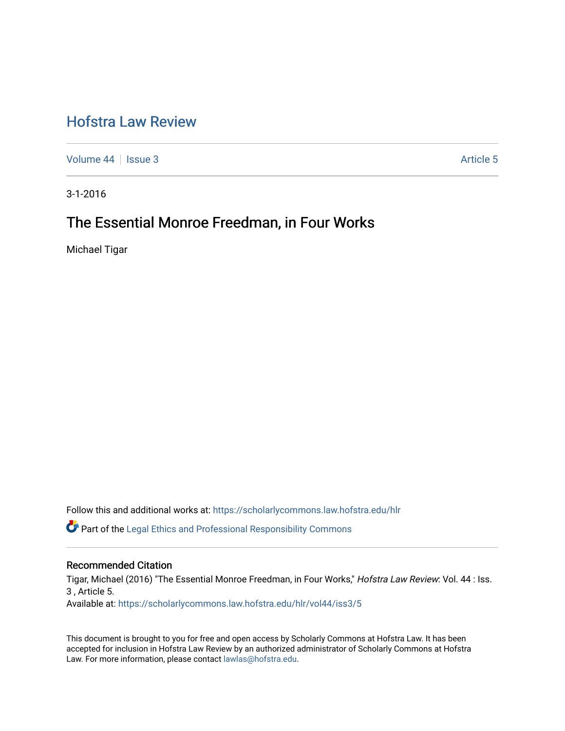# [Hofstra Law Review](https://scholarlycommons.law.hofstra.edu/hlr)

[Volume 44](https://scholarlycommons.law.hofstra.edu/hlr/vol44) | [Issue 3](https://scholarlycommons.law.hofstra.edu/hlr/vol44/iss3) Article 5

3-1-2016

## The Essential Monroe Freedman, in Four Works

Michael Tigar

Follow this and additional works at: [https://scholarlycommons.law.hofstra.edu/hlr](https://scholarlycommons.law.hofstra.edu/hlr?utm_source=scholarlycommons.law.hofstra.edu%2Fhlr%2Fvol44%2Fiss3%2F5&utm_medium=PDF&utm_campaign=PDFCoverPages)

Part of the [Legal Ethics and Professional Responsibility Commons](http://network.bepress.com/hgg/discipline/895?utm_source=scholarlycommons.law.hofstra.edu%2Fhlr%2Fvol44%2Fiss3%2F5&utm_medium=PDF&utm_campaign=PDFCoverPages)

## Recommended Citation

Tigar, Michael (2016) "The Essential Monroe Freedman, in Four Works," Hofstra Law Review: Vol. 44 : Iss. 3 , Article 5.

Available at: [https://scholarlycommons.law.hofstra.edu/hlr/vol44/iss3/5](https://scholarlycommons.law.hofstra.edu/hlr/vol44/iss3/5?utm_source=scholarlycommons.law.hofstra.edu%2Fhlr%2Fvol44%2Fiss3%2F5&utm_medium=PDF&utm_campaign=PDFCoverPages)

This document is brought to you for free and open access by Scholarly Commons at Hofstra Law. It has been accepted for inclusion in Hofstra Law Review by an authorized administrator of Scholarly Commons at Hofstra Law. For more information, please contact [lawlas@hofstra.edu.](mailto:lawlas@hofstra.edu)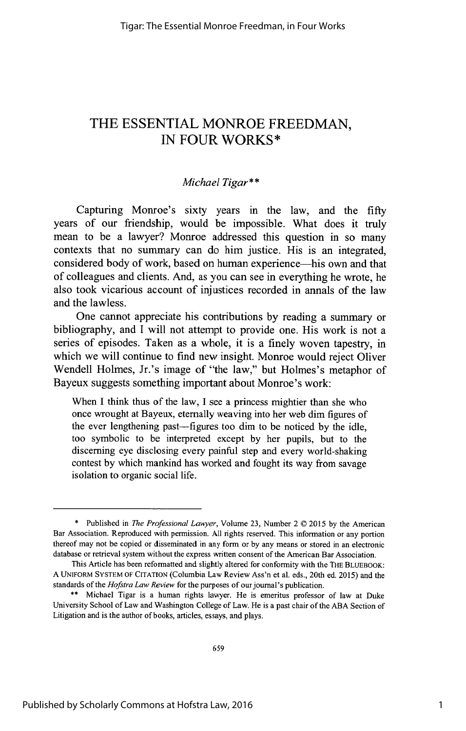## THE **ESSENTIAL** MONROE FREEDMAN, **IN** FOUR WORKS\*

## *Michael Tigar\*\**

Capturing Monroe's sixty years in the law, and the **fifty** years of our friendship, would be impossible. What does it truly mean to be a lawyer? Monroe addressed this question in so many contexts that no summary can do him justice. His is an integrated, considered body of work, based on human experience—his own and that of colleagues and clients. And, as you can see in everything he wrote, he also took vicarious account of injustices recorded in annals of the law and the lawless.

One cannot appreciate his contributions **by** reading a summary or bibliography, and **I** will not attempt to provide one. His work is not a series of episodes. Taken as a whole, it is a finely woven tapestry, in which we will continue to find new insight. Monroe would reject Oliver Wendell Holmes, Jr.'s image of "the law," but Holmes's metaphor of Bayeux suggests something important about Monroe's work:

When I think thus of the law, I see a princess mightier than she who once wrought at Bayeux, eternally weaving into her web dim figures of the ever lengthening past-figures too dim to be noticed **by** the idle, too symbolic to be interpreted except **by** her pupils, but to the discerning eye disclosing every painful step and every world-shaking contest **by** which mankind has worked and fought its way from savage isolation to organic social life.

**<sup>\*</sup>** Published in *The Professional Lawyer,* Volume **23,** Number 2 C **2015 by** the American Bar Association. Reproduced with permission. **All** rights reserved. This information or any portion thereof may not be copied or disseminated in any form or **by** any means or stored in an electronic database or retrieval system without the express written consent of the American Bar Association.

This Article has been reformatted and slightly altered for conformity with the THE BLUEBOOK: **A UNIFORM** SYSTEM OF **CITATION** (Columbia Law Review Ass'n et al. eds., 20th ed. *2015)* and the standards of the *Hofstra Law Review* for the purposes **of** our journal's publication.

**<sup>\*\*</sup>** Michael Tigar is a human rights lawyer. He is emeritus professor of law at Duke University School of Law and Washington College of Law. He is a past chair of the **ABA** Section of Litigation and is the author of books, articles, essays, and plays.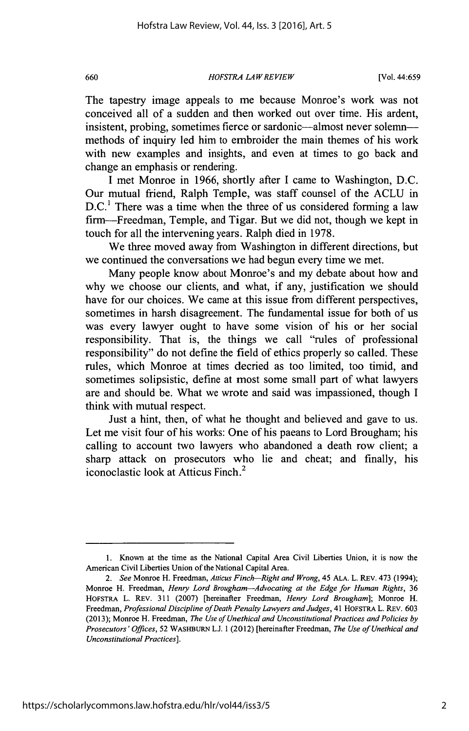#### *HOFSTRA LAWREVIEW* **660** [Vol. 44:659

The tapestry image appeals to me because Monroe's work was not conceived all of a sudden and then worked out over time. His ardent, insistent, probing, sometimes fierce or sardonic-almost never solemnmethods of inquiry led him to embroider the main themes of his work with new examples and insights, and even at times to go back and change an emphasis or rendering.

**I** met Monroe in **1966,** shortly after **I** came to Washington, **D.C.** Our mutual friend, Ralph Temple, was staff counsel of the **ACLU** in **D.C.'** There was a time when the three of us considered forming a law firm-Freedman, Temple, and Tigar. But we did not, though we kept in touch for all the intervening years. Ralph died in **1978.**

We three moved away from Washington in different directions, but we continued the conversations we had begun every time we met.

Many people know about Monroe's and my debate about how and why we choose our clients, and what, if any, justification we should have for our choices. We came at this issue from different perspectives, sometimes in harsh disagreement. The fundamental issue for both of us was every lawyer ought to have some vision of his or her social responsibility. That is, the things we call "rules of professional responsibility" do not define the field of ethics properly so called. These rules, which Monroe at times decried as too limited, too timid, and sometimes solipsistic, define at most some small part of what lawyers are and should be. What we wrote and said was impassioned, though **I** think with mutual respect.

Just a hint, then, of what he thought and believed and gave to us. Let me visit four of his works: One of his paeans to Lord Brougham; his calling to account two lawyers who abandoned a death row client; a sharp attack on prosecutors who lie and cheat; and finally, his iconoclastic look at Atticus Finch.<sup>2</sup>

**<sup>1.</sup>** Known at the time as the National Capital Area Civil Liberties Union, it is now the American Civil Liberties Union of the National Capital Area.

*<sup>2.</sup> See* Monroe H. Freedman, *Atticus Finch-Right and Wrong,* 45 **ALA.** L. REv. 473 (1994); Monroe H. Freedman, *Henry Lord Brougham-Advocating at the Edge for Human Rights, 36* **HOFSTRA** L. REv. **311 (2007)** [hereinafter Freedman, *Henry Lord Brougham];* Monroe H. *Freedman, Professional Discipline ofDeath Penalty Lawyers and Judges,* 41 HOFSTRA L. REv. **603 (2013);** Monroe H. Freedman, *The Use of Unethical and Unconstitutional Practices and Policies by Prosecutors' Offices, 52* **WASHBURN** L.J. **1** (2012) [hereinafter Freedman, *The Use of Unethical and Unconstitutional Practices].*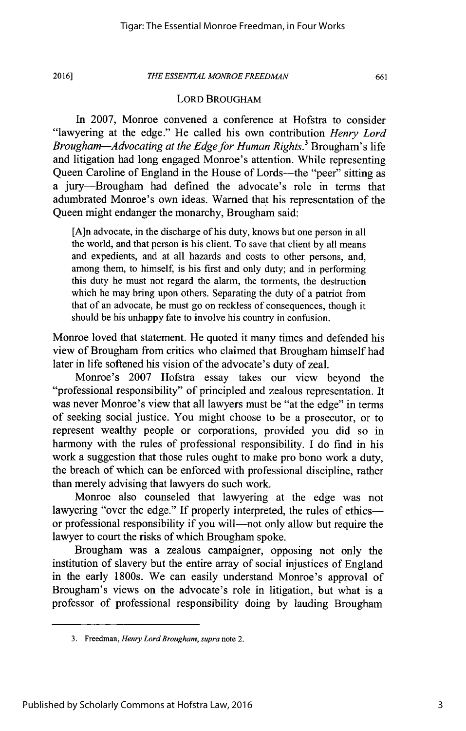#### *THE ESSENTIAL MONROE FREEDMAN* **2016] 661**

#### LORD BROUGHAM

In **2007,** Monroe convened a conference at Hofstra to consider "lawyering at the edge." He called his own contribution *Henry Lord Brougham-Advocating at the Edge for Human Rights.'* Brougham's life and litigation had long engaged Monroe's attention. While representing Queen Caroline of England in the House of Lords-the "peer" sitting as a jury-Brougham had defined the advocate's role in terms that adumbrated Monroe's own ideas. Warned that his representation of the Queen might endanger the monarchy, Brougham said:

[A]n advocate, in the discharge of his duty, knows but one person in all the world, and that person is his client. To save that client **by** all means and expedients, and at all hazards and costs to other persons, and, among them, to himself, is his first and only duty; and in performing this duty he must not regard the alarm, the torments, the destruction which he may bring upon others. Separating the duty of a patriot from that of an advocate, he must go on reckless of consequences, though it should **be** his unhappy fate to involve his country in confusion.

Monroe loved that statement. He quoted it many times and defended his view of Brougham from critics who claimed that Brougham himself had later in life softened his vision of the advocate's duty of zeal.

Monroe's **2007** Hofstra essay takes our view beyond the "professional responsibility" of principled and zealous representation. It was never Monroe's view that all lawyers must be "at the edge" in terms of seeking social justice. You might choose to be a prosecutor, or to represent wealthy people or corporations, provided you did so in harmony with the rules of professional responsibility. **I** do find in his work a suggestion that those rules ought to make pro bono work a duty, the breach of which can be enforced with professional discipline, rather than merely advising that lawyers do such work.

Monroe also counseled that lawyering at the edge was not lawyering "over the edge." If properly interpreted, the rules of ethics--or professional responsibility if you will—not only allow but require the lawyer to court the risks of which Brougham spoke.

Brougham was a zealous campaigner, opposing not only the institution of slavery but the entire array of social injustices of England in the early 1800s. We can easily understand Monroe's approval of Brougham's views on the advocate's role in litigation, but what is a professor of professional responsibility doing **by** lauding Brougham

**<sup>3.</sup>** Freedman, *Henry Lord Brougham, supra* note 2.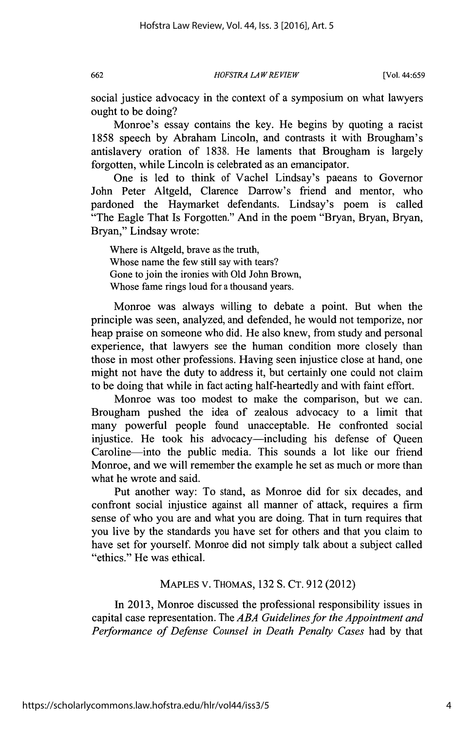*HOFSTRA LA WREVIEW* **662** [Vol. 44:659

social justice advocacy in the context of a symposium on what lawyers ought to be doing?

Monroe's essay contains the key. He begins **by** quoting a racist **1858** speech **by** Abraham Lincoln, and contrasts it with Brougham's antislavery oration of **1838.** He laments that Brougham is largely forgotten, while Lincoln is celebrated as an emancipator.

One is led to think of Vachel Lindsay's paeans to Governor John Peter Altgeld, Clarence Darrow's friend and mentor, who pardoned the Haymarket defendants. Lindsay's poem is called "The Eagle That Is Forgotten." And in the poem "Bryan, Bryan, Bryan, Bryan," Lindsay wrote:

Where is Altgeld, brave as the truth, Whose name the few still say with tears? Gone to join the ironies with **Old** John Brown, Whose fame rings loud for a thousand years.

Monroe was always willing to debate a point. But when the principle was seen, analyzed, and defended, he would not temporize, nor heap praise on someone who did. He also knew, from study and personal experience, that lawyers see the human condition more closely than those in most other professions. Having seen injustice close at hand, one might not have the duty to address it, but certainly one could not claim to be doing that while in fact acting half-heartedly and with faint effort.

Monroe was too modest to make the comparison, but we can. Brougham pushed the idea of zealous advocacy to a limit that many powerful people found unacceptable. He confronted social injustice. He took his advocacy—including his defense of Queen Caroline—into the public media. This sounds a lot like our friend Monroe, and we will remember the example he set as much or more than what he wrote and said.

Put another way: To stand, as Monroe did for six decades, and confront social injustice against all manner of attack, requires a firm sense of who you are and what you are doing. That in turn requires that you live **by** the standards you have set for others and that you claim to have set for yourself. Monroe did not simply talk about a subject called "ethics." He was ethical.

## **MAPLES** V. **THOMAS, 132 S. CT. 912** (2012)

In **2013,** Monroe discussed the professional responsibility issues in capital case representation. The *ABA Guidelines for the Appointment and Performance of Defense Counsel in Death Penalty Cases* had **by** that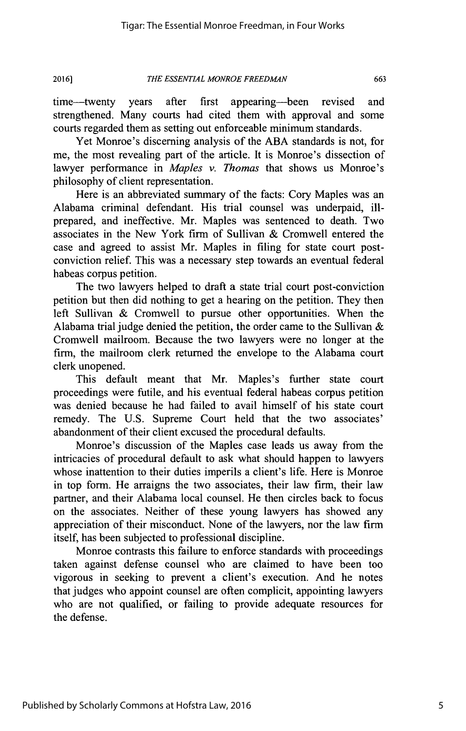time-twenty years after first appearing-been revised and strengthened. Many courts had cited them with approval and some courts regarded them as setting out enforceable minimum standards.

Yet Monroe's discerning analysis of the **ABA** standards is not, for me, the most revealing part of the article. It is Monroe's dissection of lawyer performance in *Maples v. Thomas* that shows us Monroe's philosophy of client representation.

Here is an abbreviated summary of the facts: Cory Maples was an Alabama criminal defendant. His trial counsel was underpaid, illprepared, and ineffective. Mr. Maples was sentenced to death. Two associates in the New York firm of Sullivan **&** Cromwell entered the case and agreed to assist Mr. Maples in filing for state court postconviction relief. This was a necessary step towards an eventual federal habeas corpus petition.

The two lawyers helped to draft a state trial court post-conviction petition but then did nothing to get a hearing on the petition. They then left Sullivan **&** Cromwell to pursue other opportunities. When the Alabama trial judge denied the petition, the order came to the Sullivan  $\&$ Cromwell mailroom. Because the two lawyers were no longer at the firm, the mailroom clerk returned the envelope to the Alabama court clerk unopened.

This default meant that Mr. Maples's further state court proceedings were futile, and his eventual federal habeas corpus petition was denied because he had failed to avail himself of his state court remedy. The **U.S.** Supreme Court held that the two associates' abandonment of their client excused the procedural defaults.

Monroe's discussion of the Maples case leads us away from the intricacies of procedural default to ask what should happen to lawyers whose inattention to their duties imperils a client's life. Here is Monroe in top form. He arraigns the two associates, their law firm, their law partner, and their Alabama local counsel. He then circles back to focus on the associates. Neither of these young lawyers has showed any appreciation of their misconduct. None of the lawyers, nor the law firm itself, has been subjected to professional discipline.

Monroe contrasts this failure to enforce standards with proceedings taken against defense counsel who are claimed to have been too vigorous in seeking to prevent a client's execution. And he notes that judges who appoint counsel are often complicit, appointing lawyers who are not qualified, or failing to provide adequate resources for the defense.

Published by Scholarly Commons at Hofstra Law, 2016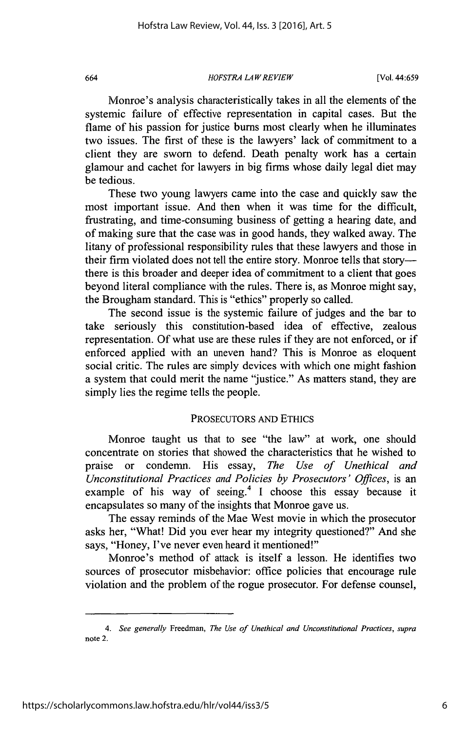#### *HOFSTRA LAW REVIEW* 664 [Vol. 44:659

Monroe's analysis characteristically takes in all the elements of the systemic failure of effective representation in capital cases. But the flame of his passion for justice burns most clearly when he illuminates two issues. The first of these is the lawyers' lack of commitment to a client they are sworn to defend. Death penalty work has a certain glamour and cachet for lawyers in big firms whose daily legal diet may be tedious.

These two young lawyers came into the case and quickly saw the most important issue. And then when it was time for the difficult, frustrating, and time-consuming business of getting a hearing date, and of making sure that the case was in good hands, they walked away. The litany of professional responsibility rules that these lawyers and those in their firm violated does not tell the entire story. Monroe tells that storythere is this broader and deeper idea of commitment to a client that goes beyond literal compliance with the rules. There is, as Monroe might say, the Brougham standard. This is "ethics" properly so called.

The second issue is the systemic failure of judges and the bar to take seriously this constitution-based idea of effective, zealous representation. **Of** what use are these rules if they are not enforced, or if enforced applied with an uneven hand? This is Monroe as eloquent social critic. The rules are simply devices with which one might fashion a system that could merit the name "justice." As matters stand, they are simply lies the regime tells the people.

### PROSECUTORS **AND ETHICS**

Monroe taught us that to see "the law" at work, one should concentrate on stories that showed the characteristics that he wished to praise or condemn. His essay, *The Use of Unethical and Unconstitutional Practices and Policies by Prosecutors' Offices,* is an example of his way of seeing.<sup>4</sup>**I** choose this essay because it encapsulates so many of the insights that Monroe gave us.

The essay reminds of the Mae West movie in which the prosecutor asks her, "What! Did you ever hear my integrity questioned?" And she says, "Honey, I've never even heard it mentioned!"

Monroe's method of attack is itself a lesson. He identifies two sources of prosecutor misbehavior: office policies that encourage rule violation and the problem of the rogue prosecutor. For defense counsel,

*<sup>4.</sup> See generally Freedman, The Use of Unethical and Unconstitutional Practices, supra* note 2.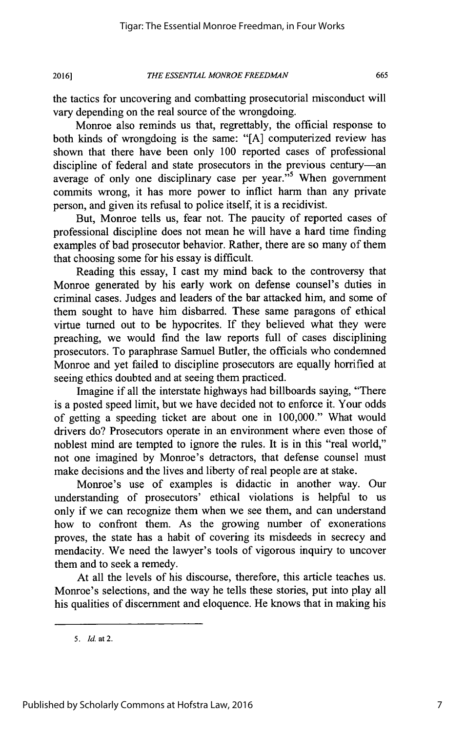the tactics for uncovering and combatting prosecutorial misconduct will vary depending on the real source of the wrongdoing.

Monroe also reminds us that, regrettably, the official response to both kinds of wrongdoing is the same: **"[A]** computerized review has shown that there have been only **100** reported cases of professional discipline of federal and state prosecutors in the previous century-an average of only one disciplinary case per year."<sup>5</sup> When government commits wrong, it has more power to inflict harm than any private person, and given its refusal to police itself, it is a recidivist.

But, Monroe tells us, fear not. The paucity of reported cases of professional discipline does not mean he will have a hard time finding examples of bad prosecutor behavior. Rather, there are so many of them that choosing some for his essay is difficult.

Reading this essay, **I** cast my mind back to the controversy that Monroe generated **by** his early work on defense counsel's duties in criminal cases. Judges and leaders of the bar attacked him, and some of them sought to have him disbarred. These same paragons of ethical virtue turned out to be hypocrites. **If** they believed what they were preaching, we would find the law reports full of cases disciplining prosecutors. To paraphrase Samuel Butler, the officials who condemned Monroe and yet failed to discipline prosecutors are equally horrified at seeing ethics doubted and at seeing them practiced.

Imagine if all the interstate highways had billboards saying, "There is a posted speed limit, but we have decided not to enforce it. Your odds of getting a speeding ticket are about one in **100,000."** What would drivers do? Prosecutors operate in an environment where even those of noblest mind are tempted to ignore the rules. It is in this "real world," not one imagined **by** Monroe's detractors, that defense counsel must make decisions and the lives and liberty of real people are at stake.

Monroe's use of examples is didactic in another way. Our understanding of prosecutors' ethical violations is helpful to us only if we can recognize them when we see them, and can understand how to confront them. As the growing number of exonerations proves, the state has a habit of covering its misdeeds in secrecy and mendacity. We need the lawyer's tools of vigorous inquiry to uncover them and to seek a remedy.

At all the levels of his discourse, therefore, this article teaches us. Monroe's selections, and the way he tells these stories, put into play all his qualities of discernment and eloquence. He knows that in making his

*<sup>5.</sup> Id. at 2.*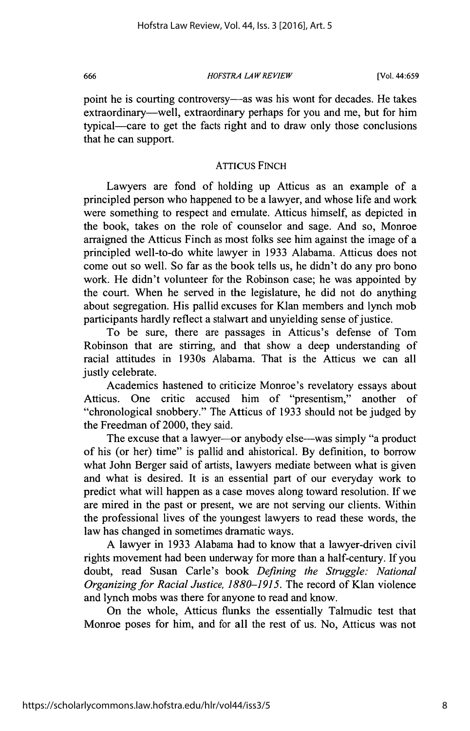#### *HOFSTRA LAW REVIEW* [ **666** [Vol. 44:659

point he is courting controversy—as was his wont for decades. He takes extraordinary—well, extraordinary perhaps for you and me, but for him typical-care to get the facts right and to draw only those conclusions that he can support.

### ATTICUS FINCH

Lawyers are fond of holding up Atticus as an example of a principled person who happened to be a lawyer, and whose life and work were something to respect and emulate. Atticus himself, as depicted in the book, takes on the role of counselor and sage. And so, Monroe arraigned the Atticus Finch as most folks see him against the image of a principled well-to-do white lawyer in **1933** Alabama. Atticus does not come out so well. So far as the book tells us, he didn't do any pro bono work. He didn't volunteer for the Robinson case; he was appointed **by** the court. When he served in the legislature, he did not do anything about segregation. His pallid excuses for Klan members and lynch mob participants hardly reflect a stalwart and unyielding sense of justice.

To be sure, there are passages in Atticus's defense of Tom Robinson that are stirring, and that show a deep understanding of racial attitudes in 1930s Alabama. That is the Atticus we can all justly celebrate.

Academics hastened to criticize Monroe's revelatory essays about Atticus. One critic accused him of "presentism," another of "chronological snobbery." The Atticus of **1933** should not be judged **by** the Freedman of 2000, they said.

The excuse that a lawyer----or anybody else---was simply "a product of his (or her) time" is pallid and ahistorical. **By** definition, to borrow what John Berger said of artists, lawyers mediate between what is given and what is desired. It is an essential part of our everyday work to predict what will happen as a case moves along toward resolution. **If** we are mired in the past or present, we are not serving our clients. Within the professional lives of the youngest lawyers to read these words, the law has changed in sometimes dramatic ways.

**A** lawyer in **1933** Alabama had to know that a lawyer-driven civil rights movement had been underway for more than a half-century. **If** you doubt, read Susan Carle's book *Defining the Struggle: National Organizing for Racial Justice, 1880-1915.* The record of Klan violence and lynch mobs was there for anyone to read and know.

On the whole, Atticus flunks the essentially Talmudic test that Monroe poses for him, and for all the rest of us. No, Atticus was not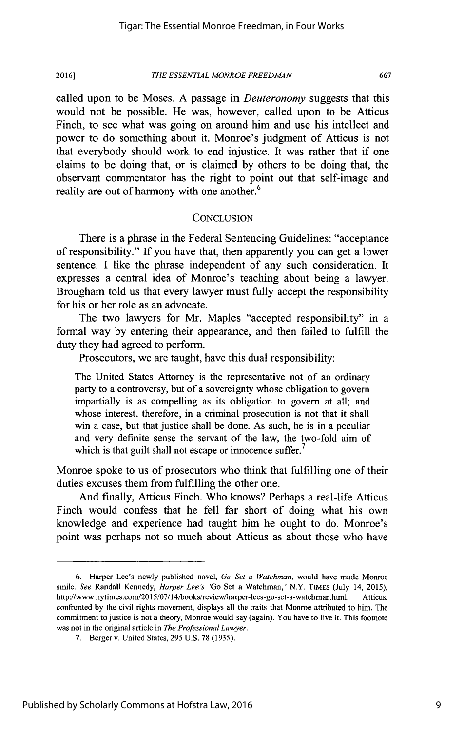## *THE ESSENTIAL MONROE FREEDMAN* **2016] 667**

called upon to be Moses. **A** passage in *Deuteronomy* suggests that this would not be possible. He was, however, called upon to be Atticus Finch, to see what was going on around him and use his intellect and power to do something about it. Monroe's judgment of Atticus is not that everybody should work to end injustice. It was rather that if one claims to be doing that, or is claimed **by** others to be doing that, the observant commentator has the right to point out that self-image and reality are out of harmony with one another.<sup>6</sup>

#### **CONCLUSION**

There is a phrase in the Federal Sentencing Guidelines: "acceptance of responsibility." **If** you have that, then apparently you can get a lower sentence. **I** like the phrase independent of any such consideration. It expresses a central idea of Monroe's teaching about being a lawyer. Brougham told us that every lawyer must fully accept the responsibility for his or her role as an advocate.

The two lawyers for Mr. Maples "accepted responsibility" in a formal way **by** entering their appearance, and then failed to fulfill the duty they had agreed to perform.

Prosecutors, we are taught, have this dual responsibility:

The United States Attorney is the representative not of an ordinary party to a controversy, but of a sovereignty whose obligation to govern impartially is as compelling as its obligation to govern at all; and whose interest, therefore, in a criminal prosecution is not that it shall win a case, but that justice shall be done. As such, he is in a peculiar and very definite sense the servant of the law, the two-fold aim of which is that guilt shall not escape or innocence suffer.<sup>7</sup>

Monroe spoke to us of prosecutors who think that fulfilling one of their duties excuses them from fulfilling the other one.

And finally, Atticus Finch. Who knows? Perhaps a real-life Atticus Finch would confess that he fell far short of doing what his own knowledge and experience had taught him he ought to do. Monroe's point was perhaps not so much about Atticus as about those who have

**<sup>6.</sup>** Harper Lee's newly published novel, *Go Set a Watchman,* would have made Monroe smile. *See* Randall Kennedy, *Harper Lee's* 'Go Set a Watchman,' N.Y. **TIMES (July** 14, **2015),** http://www.nytimes.com/2015/07/14/books/review/harper-lees-go-set-a-watchman.html. Atticus, confronted **by** the civil rights movement, displays all the traits that Monroe attributed to him. The commitment to justice is not a theory, Monroe would say (again). You have to live it. This footnote was not in the original article in *The Professional Lawyer.*

**<sup>7.</sup>** Berger v. United States, *295* **U.S. 78 (1935).**